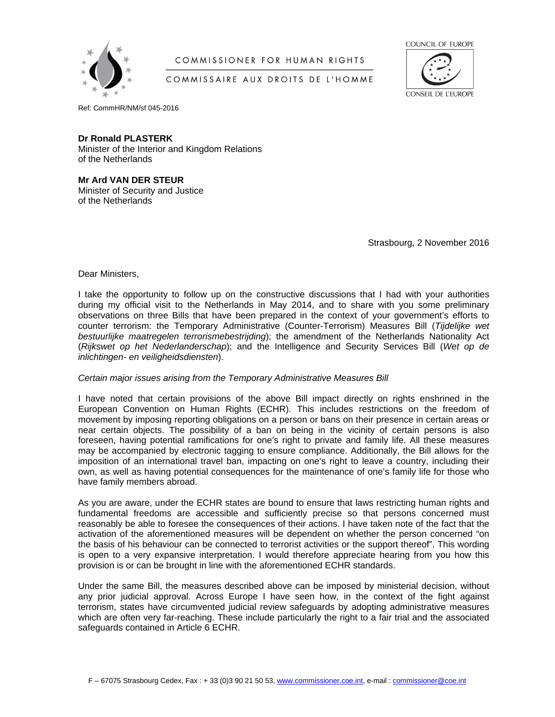

# COMMISSIONER FOR HUMAN RIGHTS

COUNCIL OF EUROPE

### COMMISSAIRE AUX DROITS DE L'HOMME



Ref: CommHR/NM/sf 045-2016

### **Dr Ronald PLASTERK**

Minister of the Interior and Kingdom Relations of the Netherlands

#### **Mr Ard VAN DER STEUR** Minister of Security and Justice of the Netherlands

Strasbourg, 2 November 2016

Dear Ministers,

I take the opportunity to follow up on the constructive discussions that I had with your authorities during my official visit to the Netherlands in May 2014, and to share with you some preliminary observations on three Bills that have been prepared in the context of your government's efforts to counter terrorism: the Temporary Administrative (Counter-Terrorism) Measures Bill (*Tijdelijke wet bestuurlijke maatregelen terrorismebestrijding*); the amendment of the Netherlands Nationality Act (*Rijkswet op het Nederlanderschap*); and the Intelligence and Security Services Bill (*Wet op de inlichtingen- en veiligheidsdiensten*).

### *Certain major issues arising from the Temporary Administrative Measures Bill*

I have noted that certain provisions of the above Bill impact directly on rights enshrined in the European Convention on Human Rights (ECHR). This includes restrictions on the freedom of movement by imposing reporting obligations on a person or bans on their presence in certain areas or near certain objects. The possibility of a ban on being in the vicinity of certain persons is also foreseen, having potential ramifications for one's right to private and family life. All these measures may be accompanied by electronic tagging to ensure compliance. Additionally, the Bill allows for the imposition of an international travel ban, impacting on one's right to leave a country, including their own, as well as having potential consequences for the maintenance of one's family life for those who have family members abroad.

As you are aware, under the ECHR states are bound to ensure that laws restricting human rights and fundamental freedoms are accessible and sufficiently precise so that persons concerned must reasonably be able to foresee the consequences of their actions. I have taken note of the fact that the activation of the aforementioned measures will be dependent on whether the person concerned "on the basis of his behaviour can be connected to terrorist activities or the support thereof". This wording is open to a very expansive interpretation. I would therefore appreciate hearing from you how this provision is or can be brought in line with the aforementioned ECHR standards.

Under the same Bill, the measures described above can be imposed by ministerial decision, without any prior judicial approval. Across Europe I have seen how, in the context of the fight against terrorism, states have circumvented judicial review safeguards by adopting administrative measures which are often very far-reaching. These include particularly the right to a fair trial and the associated safeguards contained in Article 6 ECHR.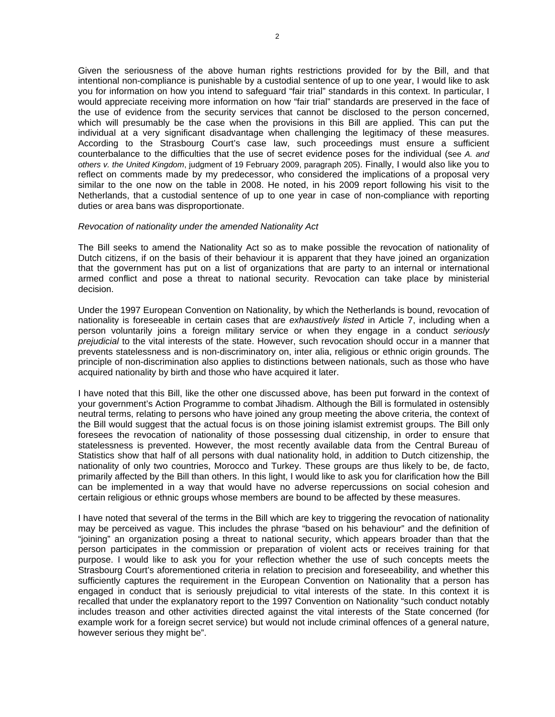Given the seriousness of the above human rights restrictions provided for by the Bill, and that intentional non-compliance is punishable by a custodial sentence of up to one year, I would like to ask you for information on how you intend to safeguard "fair trial" standards in this context. In particular, I would appreciate receiving more information on how "fair trial" standards are preserved in the face of the use of evidence from the security services that cannot be disclosed to the person concerned, which will presumably be the case when the provisions in this Bill are applied. This can put the individual at a very significant disadvantage when challenging the legitimacy of these measures. According to the Strasbourg Court's case law, such proceedings must ensure a sufficient counterbalance to the difficulties that the use of secret evidence poses for the individual (see *A. and others v. the United Kingdom*, judgment of 19 February 2009, paragraph 205). Finally, I would also like you to reflect on comments made by my predecessor, who considered the implications of a proposal very similar to the one now on the table in 2008. He noted, in his 2009 report following his visit to the Netherlands, that a custodial sentence of up to one year in case of non-compliance with reporting duties or area bans was disproportionate.

#### *Revocation of nationality under the amended Nationality Act*

The Bill seeks to amend the Nationality Act so as to make possible the revocation of nationality of Dutch citizens, if on the basis of their behaviour it is apparent that they have joined an organization that the government has put on a list of organizations that are party to an internal or international armed conflict and pose a threat to national security. Revocation can take place by ministerial decision.

Under the 1997 European Convention on Nationality, by which the Netherlands is bound, revocation of nationality is foreseeable in certain cases that are *exhaustively listed* in Article 7, including when a person voluntarily joins a foreign military service or when they engage in a conduct *seriously prejudicial* to the vital interests of the state. However, such revocation should occur in a manner that prevents statelessness and is non-discriminatory on, inter alia, religious or ethnic origin grounds. The principle of non-discrimination also applies to distinctions between nationals, such as those who have acquired nationality by birth and those who have acquired it later.

I have noted that this Bill, like the other one discussed above, has been put forward in the context of your government's Action Programme to combat Jihadism. Although the Bill is formulated in ostensibly neutral terms, relating to persons who have joined any group meeting the above criteria, the context of the Bill would suggest that the actual focus is on those joining islamist extremist groups. The Bill only foresees the revocation of nationality of those possessing dual citizenship, in order to ensure that statelessness is prevented. However, the most recently available data from the Central Bureau of Statistics show that half of all persons with dual nationality hold, in addition to Dutch citizenship, the nationality of only two countries, Morocco and Turkey. These groups are thus likely to be, de facto, primarily affected by the Bill than others. In this light, I would like to ask you for clarification how the Bill can be implemented in a way that would have no adverse repercussions on social cohesion and certain religious or ethnic groups whose members are bound to be affected by these measures.

I have noted that several of the terms in the Bill which are key to triggering the revocation of nationality may be perceived as vague. This includes the phrase "based on his behaviour" and the definition of "joining" an organization posing a threat to national security, which appears broader than that the person participates in the commission or preparation of violent acts or receives training for that purpose. I would like to ask you for your reflection whether the use of such concepts meets the Strasbourg Court's aforementioned criteria in relation to precision and foreseeability, and whether this sufficiently captures the requirement in the European Convention on Nationality that a person has engaged in conduct that is seriously prejudicial to vital interests of the state. In this context it is recalled that under the explanatory report to the 1997 Convention on Nationality "such conduct notably includes treason and other activities directed against the vital interests of the State concerned (for example work for a foreign secret service) but would not include criminal offences of a general nature, however serious they might be".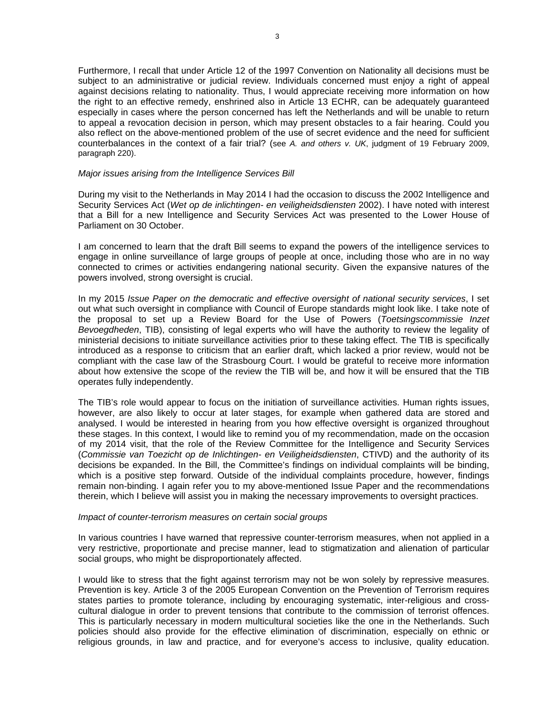Furthermore, I recall that under Article 12 of the 1997 Convention on Nationality all decisions must be subject to an administrative or judicial review. Individuals concerned must enjoy a right of appeal against decisions relating to nationality. Thus, I would appreciate receiving more information on how the right to an effective remedy, enshrined also in Article 13 ECHR, can be adequately guaranteed especially in cases where the person concerned has left the Netherlands and will be unable to return to appeal a revocation decision in person, which may present obstacles to a fair hearing. Could you also reflect on the above-mentioned problem of the use of secret evidence and the need for sufficient counterbalances in the context of a fair trial? (see *A. and others v. UK*, judgment of 19 February 2009, paragraph 220).

## *Major issues arising from the Intelligence Services Bill*

During my visit to the Netherlands in May 2014 I had the occasion to discuss the 2002 Intelligence and Security Services Act (*Wet op de inlichtingen- en veiligheidsdiensten* 2002). I have noted with interest that a Bill for a new Intelligence and Security Services Act was presented to the Lower House of Parliament on 30 October.

I am concerned to learn that the draft Bill seems to expand the powers of the intelligence services to engage in online surveillance of large groups of people at once, including those who are in no way connected to crimes or activities endangering national security. Given the expansive natures of the powers involved, strong oversight is crucial.

In my 2015 *Issue Paper on the democratic and effective oversight of national security services*, I set out what such oversight in compliance with Council of Europe standards might look like. I take note of the proposal to set up a Review Board for the Use of Powers (*Toetsingscommissie Inzet Bevoegdheden*, TIB), consisting of legal experts who will have the authority to review the legality of ministerial decisions to initiate surveillance activities prior to these taking effect. The TIB is specifically introduced as a response to criticism that an earlier draft, which lacked a prior review, would not be compliant with the case law of the Strasbourg Court. I would be grateful to receive more information about how extensive the scope of the review the TIB will be, and how it will be ensured that the TIB operates fully independently.

The TIB's role would appear to focus on the initiation of surveillance activities. Human rights issues, however, are also likely to occur at later stages, for example when gathered data are stored and analysed. I would be interested in hearing from you how effective oversight is organized throughout these stages. In this context, I would like to remind you of my recommendation, made on the occasion of my 2014 visit, that the role of the Review Committee for the Intelligence and Security Services (*Commissie van Toezicht op de Inlichtingen- en Veiligheidsdiensten*, CTIVD) and the authority of its decisions be expanded. In the Bill, the Committee's findings on individual complaints will be binding, which is a positive step forward. Outside of the individual complaints procedure, however, findings remain non-binding. I again refer you to my above-mentioned Issue Paper and the recommendations therein, which I believe will assist you in making the necessary improvements to oversight practices.

#### *Impact of counter-terrorism measures on certain social groups*

In various countries I have warned that repressive counter-terrorism measures, when not applied in a very restrictive, proportionate and precise manner, lead to stigmatization and alienation of particular social groups, who might be disproportionately affected.

I would like to stress that the fight against terrorism may not be won solely by repressive measures. Prevention is key. Article 3 of the 2005 European Convention on the Prevention of Terrorism requires states parties to promote tolerance, including by encouraging systematic, inter-religious and crosscultural dialogue in order to prevent tensions that contribute to the commission of terrorist offences. This is particularly necessary in modern multicultural societies like the one in the Netherlands. Such policies should also provide for the effective elimination of discrimination, especially on ethnic or religious grounds, in law and practice, and for everyone's access to inclusive, quality education.